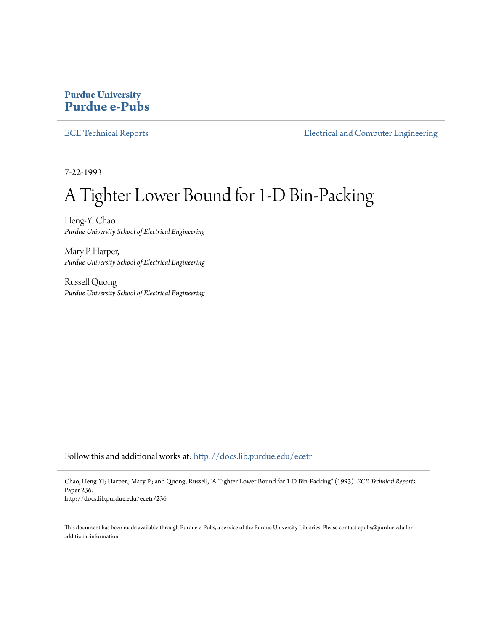## **Purdue University [Purdue e-Pubs](http://docs.lib.purdue.edu?utm_source=docs.lib.purdue.edu%2Fecetr%2F236&utm_medium=PDF&utm_campaign=PDFCoverPages)**

[ECE Technical Reports](http://docs.lib.purdue.edu/ecetr?utm_source=docs.lib.purdue.edu%2Fecetr%2F236&utm_medium=PDF&utm_campaign=PDFCoverPages) **[Electrical and Computer Engineering](http://docs.lib.purdue.edu/ece?utm_source=docs.lib.purdue.edu%2Fecetr%2F236&utm_medium=PDF&utm_campaign=PDFCoverPages)** 

7-22-1993

# A Tighter Lower Bound for 1-D Bin-Packing

Heng-Yi Chao *Purdue University School of Electrical Engineering*

Mary P. Harper, *Purdue University School of Electrical Engineering*

Russell Quong *Purdue University School of Electrical Engineering*

Follow this and additional works at: [http://docs.lib.purdue.edu/ecetr](http://docs.lib.purdue.edu/ecetr?utm_source=docs.lib.purdue.edu%2Fecetr%2F236&utm_medium=PDF&utm_campaign=PDFCoverPages)

Chao, Heng-Yi; Harper,, Mary P.; and Quong, Russell, "A Tighter Lower Bound for 1-D Bin-Packing" (1993). *ECE Technical Reports.* Paper 236. http://docs.lib.purdue.edu/ecetr/236

This document has been made available through Purdue e-Pubs, a service of the Purdue University Libraries. Please contact epubs@purdue.edu for additional information.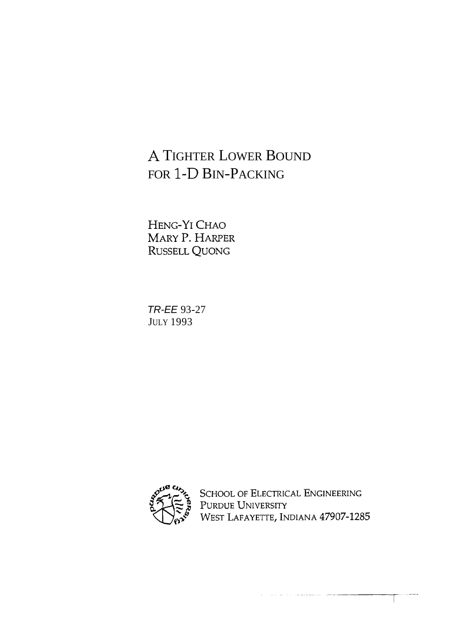## **A** TIGHTER LOWER BOUND FOR 1-D BIN-PACKING

HENG-YI CHAO MARY P. HARPER RUSSELL QUONG

TR-EE 93-27 JULY 1993



SCHOOL OF ELECTRICAL ENGINEERING PURDUE UNIVERSITY<br>WEST LAFAYETTE, INDIANA 47907-1285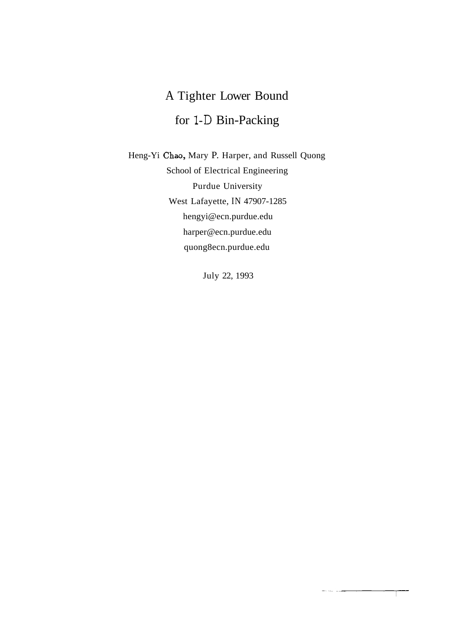## A Tighter Lower Bound for 1-D Bin-Packing

Heng-Yi Chao, Mary P. Harper, and Russell Quong School of Electrical Engineering Purdue University West Lafayette, IN 47907-1285 hengyi@ecn.purdue.edu harper@ecn.purdue.edu quong8ecn.purdue.edu

July 22, 1993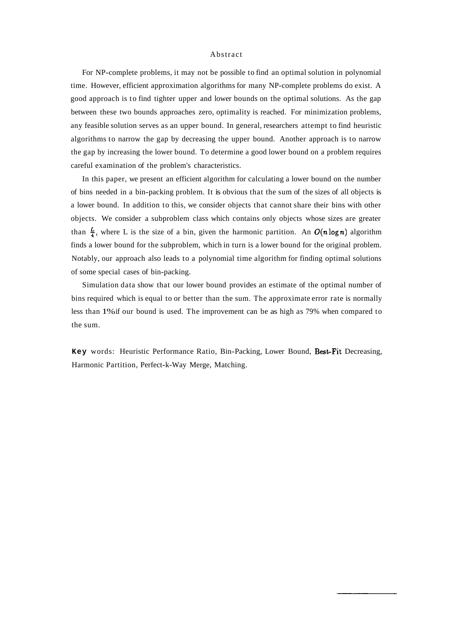#### Abstract

For NP-complete problems, it may not be possible to find an optimal solution in polynomial time. However, efficient approximation algorithms for many NP-complete problems do exist. A good approach is to find tighter upper and lower bounds on the optimal solutions. As the gap between these two bounds approaches zero, optimality is reached. For minimization problems, any feasible solution serves as an upper bound. In general, researchers attempt to find heuristic algorithms to narrow the gap by decreasing the upper bound. Another approach is to narrow the gap by increasing the lower bound. To determine a good lower bound on a problem requires careful examination of the problem's characteristics.

In this paper, we present an efficient algorithm for calculating a lower bound on the number of bins needed in a bin-packing problem. It is obvious that the sum of the sizes of all objects is a lower bound. In addition to this, we consider objects that cannot share their bins with other objects. We consider a subproblem class which contains only objects whose sizes are greater than  $\frac{L}{4}$ , where L is the size of a bin, given the harmonic partition. An  $O(n \log n)$  algorithm finds a lower bound for the subproblem, which in turn is a lower bound for the original problem. Notably, our approach also leads to a polynomial time algorithm for finding optimal solutions of some special cases of bin-packing.

Simulation data show that our lower bound provides an estimate of the optimal number of bins required which is equal to or better than the sum. The approximate error rate is normally less than 1% if our bound is used. The improvement can be as high as 79% when compared to the sum.

Key words: Heuristic Performance Ratio, Bin-Packing, Lower Bound, Best-Fit Decreasing, Harmonic Partition, Perfect-k-Way Merge, Matching.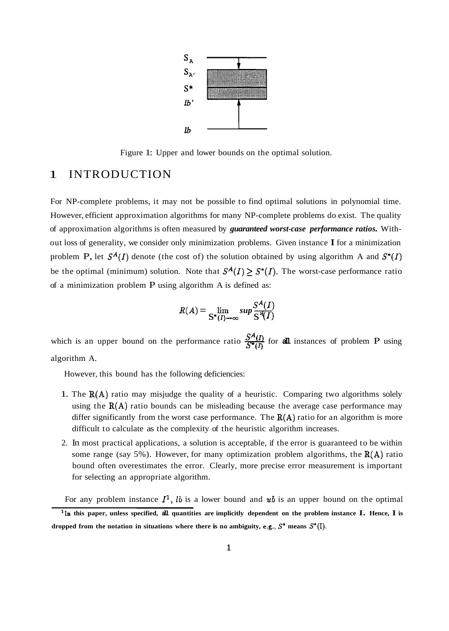

Figure 1: Upper and lower bounds on the optimal solution.

## 1 INTRODUCTION

For NP-complete problems, it may not be possible to find optimal solutions in polynomial time. However, efficient approximation algorithms for many NP-complete problems do exist. The quality of approximation algorithms is often measured by *guaranteed worst-case performance ratios.* Without loss of generality, we consider only minimization problems. Given instance I for a minimization problem P, let  $S^A(I)$  denote (the cost of) the solution obtained by using algorithm A and  $S^*(I)$ be the optimal (minimum) solution. Note that  $S^A(I) \geq S^*(I)$ . The worst-case performance ratio of a minimization problem P using algorithm A is defined as:<br>  $R(A) = \lim_{\delta \to (I) \to \infty} sup \frac{S^A(I)}{S^A(I)}$ of a minimization problem P using algorithm A is defined as:

$$
R(A) = \lim_{S^*(I) \to \infty} sup \frac{S^A(I)}{S^A(I)}
$$

which is an upper bound on the performance ratio  $\frac{S^A(I)}{S^*(I)}$  for all instances of problem P using algorithm A.

However, this bound has the following deficiencies:

- 1. The  $R(A)$  ratio may misjudge the quality of a heuristic. Comparing two algorithms solely using the  $R(A)$  ratio bounds can be misleading because the average case performance may differ significantly from the worst case performance. The  $R(A)$  ratio for an algorithm is more difficult to calculate as the complexity of the heuristic algorithm increases.
- 2. In most practical applications, a solution is acceptable, if the error is guaranteed to be within some range (say 5%). However, for many optimization problem algorithms, the  $R(A)$  ratio bound often overestimates the error. Clearly, more precise error measurement is important for selecting an appropriate algorithm.

For any problem instance  $I^1$ , *lb* is a lower bound and *ub* is an upper bound on the optimal

**<sup>&#</sup>x27;In this paper, unless specified, all quantities are implicitly dependent on the problem instance I. Hence, I is**  dropped from the notation in situations where there is no ambiguity, e.g.,  $S^*$  means  $S^*(I)$ .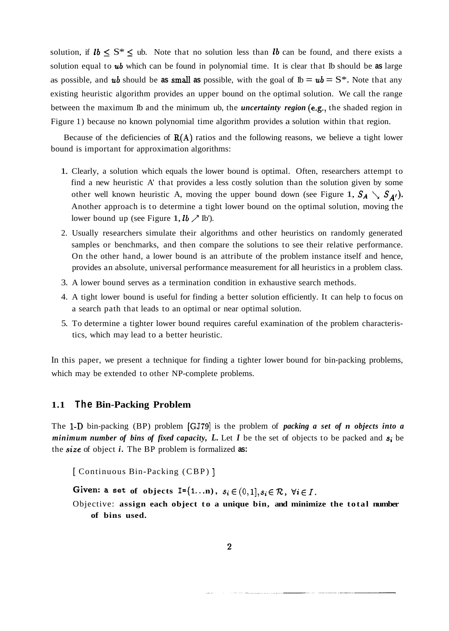solution, if  $\mathbf{1}b \leq \mathbf{S}^* \leq \mathbf{1}b$ . Note that no solution less than  $\mathbf{1}b$  can be found, and there exists a solution equal to ub which can be found in polynomial time. It is clear that Ib should be **as** large as possible, and **ub** should be as small as possible, with the goal of  $Ib = u\mathbf{b} = \mathbf{S}^*$ . Note that any existing heuristic algorithm provides an upper bound on the optimal solution. We call the range between the maximum Ib and the minimum ub, the *uncertainty region* (e.g., the shaded region in Figure 1) because no known polynomial time algorithm provides a solution within that region.

Because of the deficiencies of  $R(A)$  ratios and the following reasons, we believe a tight lower bound is important for approximation algorithms:

- 1. Clearly, a solution which equals the lower bound is optimal. Often, researchers attempt to find a new heuristic A' that provides a less costly solution than the solution given by some other well known heuristic A, moving the upper bound down (see Figure 1,  $S_A \setminus S_{A'}$ ). Another approach is to determine a tight lower bound on the optimal solution, moving the lower bound up (see Figure 1,  $\mathbf{1}b \nearrow \mathbf{I}b$ ).
- 2. Usually researchers simulate their algorithms and other heuristics on randomly generated samples or benchmarks, and then compare the solutions to see their relative performance. On the other hand, a lower bound is an attribute of the problem instance itself and hence, provides an absolute, universal performance measurement for all heuristics in a problem class.
- 3. A lower bound serves as a termination condition in exhaustive search methods.
- 4. A tight lower bound is useful for finding a better solution efficiently. It can help to focus on a search path that leads to an optimal or near optimal solution.
- 5. To determine a tighter lower bound requires careful examination of the problem characteristics, which may lead to a better heuristic.

In this paper, we present a technique for finding a tighter lower bound for bin-packing problems, which may be extended to other NP-complete problems.

#### **1.1 The Bin-Packing Problem**

The 1-D bin-packing (BP) problem [GJ79] is the problem of *packing a set of n objects into a minimum number of bins of fixed capacity, L.* Let *I* be the set of objects to be packed and *s;* be the *size* of object *i.* The BP problem is formalized **as:** 

[ Continuous Bin-Packing (CBP) ]

Given: **a** set of objects  $I = \{1...n\}$ ,  $s_i \in (0,1], s_i \in \mathcal{R}$ ,  $\forall i \in I$ .

Objective: **assign each object to a unique bin, and minimize the total number of bins used.**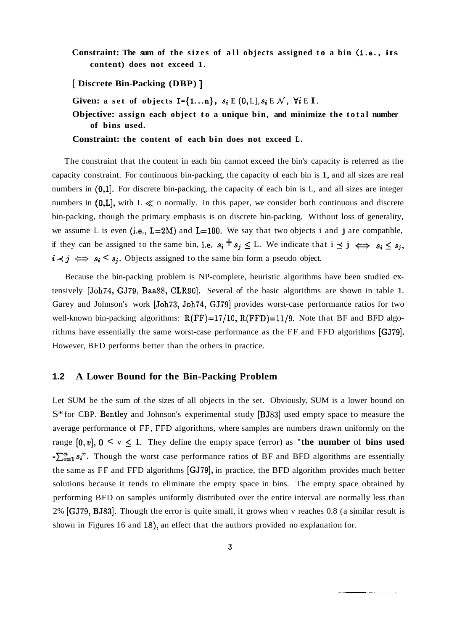**Constraint: The sum of the sizes of all objects assigned to a bin (i.e., its content) does not exceed 1.** 

[ **Discrete Bin-Packing (DBP)** ]

Given: a set of objects  $I = \{1...n\}$ ,  $s_i \to (0, L], s_i \to \mathcal{N}$ ,  $\forall i \to I$ .

**Objective: assign each object to a unique bin, and minimize the total number of bins used.** 

**Constraint: the content of each bin does not exceed L.** 

The constraint that the content in each bin cannot exceed the bin's capacity is referred as the capacity constraint. For continuous bin-packing, the capacity of each bin is 1, and all sizes are real numbers in  $(0,1]$ . For discrete bin-packing, the capacity of each bin is L, and all sizes are integer numbers in  $(0,L]$ , with  $L \ll n$  normally. In this paper, we consider both continuous and discrete bin-packing, though the primary emphasis is on discrete bin-packing. Without loss of generality, we assume L is even (i.e.,  $L=2M$ ) and  $L=100$ . We say that two objects i and j are compatible, if they can be assigned to the same bin, i.e.  $s_i + s_j \leq L$ . We indicate that  $i \leq j \iff s_i \leq s_j$ ,  $i \prec j \iff s_i \prec s_j$ . Objects assigned to the same bin form a pseudo object.

Because the bin-packing problem is NP-complete, heuristic algorithms have been studied extensively [Joh74, GJ79, Baa88, CLR90]. Several of the basic algorithms are shown in table 1. Garey and Johnson's work [Joh73, Joh74, GJ791 provides worst-case performance ratios for two well-known bin-packing algorithms:  $R(FF)=17/10$ ,  $R(FFD)=11/9$ . Note that BF and BFD algorithms have essentially the same worst-case performance as the FF and FFD algorithms [GJ79]. However, BFD performs better than the others in practice.

#### **1.2 A Lower Bound for the Bin-Packing Problem**

Let SUM be the sum of the sizes of all objects in the set. Obviously, SUM is a lower bound on S\* for CBP. Bentley and Johnson's experimental study [BJ83] used empty space to measure the average performance of FF, FFD algorithms, where samples are numbers drawn uniformly on the range  $[0, v]$ ,  $0 < v \le 1$ . They define the empty space (error) as "the number of bins used  $-\sum_{i=1}^{n} s_i$ . Though the worst case performance ratios of BF and BFD algorithms are essentially the same as FF and FFD algorithms [GJ79], in practice, the BFD algorithm provides much better solutions because it tends to eliminate the empty space in bins. The empty space obtained by performing BFD on samples uniformly distributed over the entire interval are normally less than 2% [GJ79, BJ831. Though the error is quite small, it grows when v reaches 0.8 (a similar result is shown in Figures 16 and 18), an effect that the authors provided no explanation for.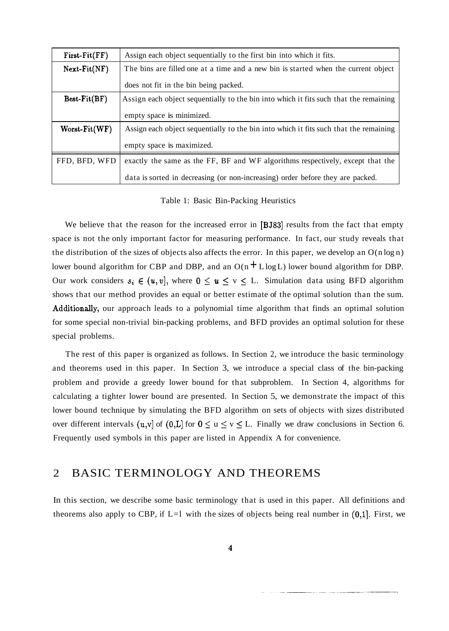| $First-Fit(FF)$ | Assign each object sequentially to the first bin into which it fits.                  |  |
|-----------------|---------------------------------------------------------------------------------------|--|
| $Next-Fit(NF)$  | The bins are filled one at a time and a new bin is started when the current object    |  |
|                 | does not fit in the bin being packed.                                                 |  |
| $Best-Fit(BF)$  | Assign each object sequentially to the bin into which it fits such that the remaining |  |
|                 | empty space is minimized.                                                             |  |
| $Worst-Fit(WF)$ | Assign each object sequentially to the bin into which it fits such that the remaining |  |
|                 | empty space is maximized.                                                             |  |
| FFD, BFD, WFD   | exactly the same as the FF, BF and WF algorithms respectively, except that the        |  |
|                 | data is sorted in decreasing (or non-increasing) order before they are packed.        |  |

Table 1: Basic Bin-Packing Heuristics

We believe that the reason for the increased error in [BJ83] results from the fact that empty space is not the only important factor for measuring performance. In fact, our study reveals that the distribution of the sizes of objects also affects the error. In this paper, we develop an  $O(n \log n)$ lower bound algorithm for CBP and DBP, and an  $O(n + L \log L)$  lower bound algorithm for DBP. Our work considers  $s_i \in (u, v]$ , where  $0 \le u \le v \le L$ . Simulation data using BFD algorithm shows that our method provides an equal or better estimate of the optimal solution than the sum. Additionally, our approach leads to a polynomial time algorithm that finds an optimal solution for some special non-trivial bin-packing problems, and BFD provides an optimal solution for these special problems.

The rest of this paper is organized as follows. In Section 2, we introduce the basic terminology and theorems used in this paper. In Section 3, we introduce a special class of the bin-packing problem and provide a greedy lower bound for that subproblem. In Section 4, algorithms for calculating a tighter lower bound are presented. In Section 5, we demonstrate the impact of this lower bound technique by simulating the BFD algorithm on sets of objects with sizes distributed over different intervals  $(u,v]$  of  $(0,L]$  for  $0 \le u \le v \le L$ . Finally we draw conclusions in Section 6. Frequently used symbols in this paper are listed in Appendix A for convenience.

## 2 BASIC TERMINOLOGY AND THEOREMS

In this section, we describe some basic terminology that is used in this paper. All definitions and theorems also apply to CBP, if  $L=1$  with the sizes of objects being real number in  $(0,1]$ . First, we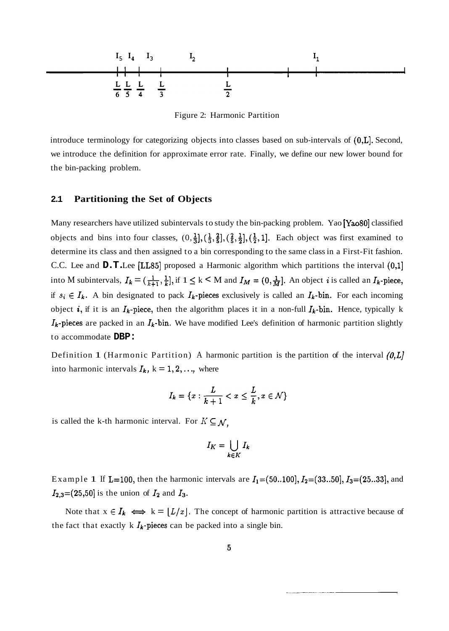

Figure 2: Harmonic Partition

introduce terminology for categorizing objects into classes based on sub-intervals of  $(0,L]$ . Second, we introduce the definition for approximate error rate. Finally, we define our new lower bound for the bin-packing problem.

#### **2.1 Partitioning the Set of Objects**

Many researchers have utilized subintervals to study the bin-packing problem. Yao [Yao80] classified objects and bins into four classes,  $(0, \frac{1}{3}), (\frac{1}{3}, \frac{2}{5}), (\frac{2}{5}, \frac{1}{2}), (\frac{1}{2}, 1]$ . Each object was first examined to determine its class and then assigned to a bin corresponding to the same class in a First-Fit fashion. C.C. Lee and **D.T.** Lee [LL85] proposed a Harmonic algorithm which partitions the interval (0,1] into M subintervals,  $I_k = (\frac{1}{k+1}, \frac{1}{k}],$  if  $1 \le k < M$  and  $I_M = (0, \frac{1}{M}]$ . An object *i* is called an  $I_k$ -piece, if  $s_i \in I_k$ . A bin designated to pack  $I_k$ -pieces exclusively is called an  $I_k$ -bin. For each incoming object *i*, if it is an  $I_k$ -piece, then the algorithm places it in a non-full  $I_k$ -bin. Hence, typically k  $I_k$ -pieces are packed in an  $I_k$ -bin. We have modified Lee's definition of harmonic partition slightly to accommodate **DBP:** 

Definition 1 (Harmonic Partition) A harmonic partition is the partition of the interval  $(0, L)$ into harmonic intervals  $I_k$ ,  $k = 1, 2, \dots$ , where

$$
I_k = \{x : \frac{L}{k+1} < x \leq \frac{L}{k}, x \in \mathcal{N}\}
$$

is called the k-th harmonic interval. For  $K \subseteq \mathcal{N}$ ,

$$
I_K = \bigcup_{k \in K} I_k
$$

Example 1 If L=100, then the harmonic intervals are  $I_1 = (50..100], I_2 = (33..50], I_3 = (25..33],$  and  $I_{2,3}$ =(25,50] is the union of  $I_2$  and  $I_3$ .

Note that  $x \in I_k \iff k = \lfloor L/x \rfloor$ . The concept of harmonic partition is attractive because of the fact that exactly k  $I_k$ -pieces can be packed into a single bin.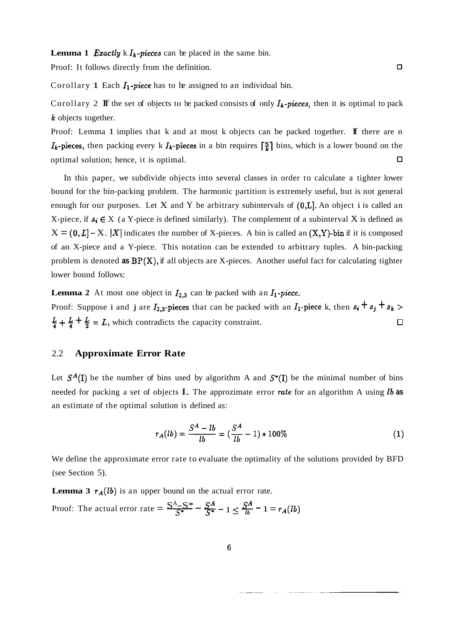**Lemma 1 Exactly** k  $I_k$ -pieces can be placed in the same bin.

Proof: It follows directly from the definition.

Corollary 1 Each  $I_1$ -piece has to be assigned to an individual bin.

Corollary 2 If the set of objects to be packed consists of only  $I_k$ -pieces, then it is optimal to pack **k** objects together.

Proof: Lemma 1 implies that  $k$  and at most  $k$  objects can be packed together. **If** there are n  $I_k$ -pieces, then packing every k  $I_k$ -pieces in a bin requires  $\lceil \frac{n}{k} \rceil$  bins, which is a lower bound on the optimal solution; hence, it is optimal. **0** 

In this paper, we subdivide objects into several classes in order to calculate a tighter lower bound for the bin-packing problem. The harmonic partition is extremely useful, but is not general enough for our purposes. Let X and Y be arbitrary subintervals of  $(0,L]$ . An object i is called an X-piece, if  $s_i \in X$  (a Y-piece is defined similarly). The complement of a subinterval X is defined as  $X = (0, L] - X$ . |X| indicates the number of X-pieces. A bin is called an  $(X, Y)$ -bin if it is composed of an X-piece and a Y-piece. This notation can be extended to arbitrary tuples. A bin-packing problem is denoted **as** BP(X), if all objects are X-pieces. Another useful fact for calculating tighter lower bound follows:

**Lemma 2** At most one object in  $I_{2,3}$  can be packed with an  $I_1$ -piece. Proof: Suppose i and j are  $I_{2,3}$ -pieces that can be packed with an  $I_1$ -piece k, then  $s_i + s_j + s_k >$  $\frac{L}{4} + \frac{L}{4} + \frac{L}{2} = L$ , which contradicts the capacity constraint.  $\Box$ 

#### 2.2 **Approximate Error Rate**

Let  $S^A(I)$  be the number of bins used by algorithm A and  $S^*(I)$  be the minimal number of bins needed for packing a set of objects I. The approzimate error rate for an algorithm A using lb **as**  an estimate of the optimal solution is defined as:

$$
r_A(lb) = \frac{S^A - lb}{lb} = \left(\frac{S^A}{lb} - 1\right) * 100\%
$$
 (1)

We define the approximate error rate to evaluate the optimality of the solutions provided by BFD (see Section 5).

**Lemma 3**  $r_A(lb)$  is an upper bound on the actual error rate. Proof: The actual error rate  $=\frac{S^A - S^*}{S^*} - \frac{S^A}{S^*} - 1 \le \frac{S^A}{l^b} - 1 = r_A(lb)$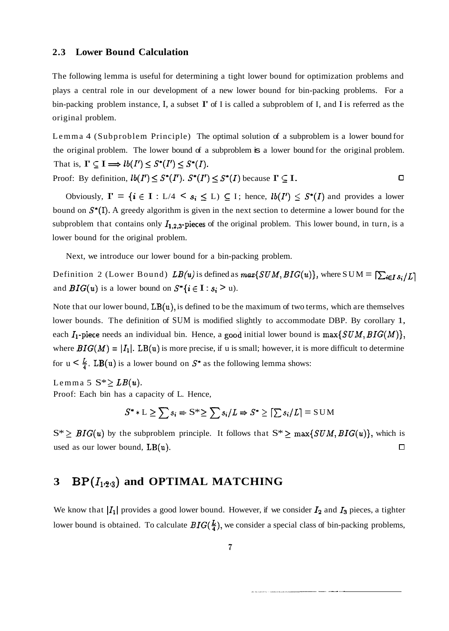#### **2.3 Lower Bound Calculation**

The following lemma is useful for determining a tight lower bound for optimization problems and plays a central role in our development of a new lower bound for bin-packing problems. For a bin-packing problem instance, I, a subset  $\Gamma$  of I is called a subproblem of I, and I is referred as the original problem.

Lemma 4 (Subproblem Principle) The optimal solution of a subproblem is a lower bound for the original problem. The lower bound of a subproblem is a lower bound for the original problem. That is,  $\Gamma \subseteq I \Longrightarrow lb(I') \leq S^*(I') \leq S^*(I)$ .

Proof: By definition,  $lb(I') \leq S^*(I')$ .  $S^*(I') \leq S^*(I)$  because  $\Gamma \subseteq I$ .  $\Box$ 

Obviously,  $\Gamma = \{i \in I : L/4 < s_i \le L \}$   $\subseteq$  I; hence,  $lb(I') \le S^*(I)$  and provides a lower bound on  $S^*(I)$ . A greedy algorithm is given in the next section to determine a lower bound for the subproblem that contains only  $I_{1,2,3}$ -pieces of the original problem. This lower bound, in turn, is a lower bound for the original problem.

Next, we introduce our lower bound for a bin-packing problem.

Definition 2 (Lower Bound)  $LB(u)$  is defined as  $max\{SUM, BIG(u)\}\$ , where SUM =  $[\sum_{i \in I} s_i/L]$ and  $BIG(u)$  is a lower bound on  $S^*\{i \in I : s_i > u\}$ .

Note that our lower bound,  $LB(u)$ , is defined to be the maximum of two terms, which are themselves lower bounds. The definition of SUM is modified slightly to accommodate DBP. By corollary 1, each  $I_1$ -piece needs an individual bin. Hence, a good initial lower bound is  $max\{SUM, BIG(M)\},$ where  $BIG(M) = |I_1|$ . LB(u) is more precise, if u is small; however, it is more difficult to determine for  $u < \frac{L}{4}$ . LB(u) is a lower bound on  $S^*$  as the following lemma shows:

Lemma 5  $S^* \geq LB(u)$ .

Proof: Each bin has a capacity of L. Hence,

$$
S^* * L \ge \sum s_i \Rightarrow S^* \ge \sum s_i/L \Rightarrow S^* \ge [\sum s_i/L] = S \cup M
$$

 $S^* \geq BIG(u)$  by the subproblem principle. It follows that  $S^* \geq \max\{SUM, BIG(u)\}\)$ , which is used as our lower bound,  $LB(u)$ . □

## **3** BP $(I_{123})$  and OPTIMAL MATCHING

We know that  $|I_1|$  provides a good lower bound. However, if we consider  $I_2$  and  $I_3$  pieces, a tighter lower bound is obtained. To calculate  $BIG(\frac{L}{4})$ , we consider a special class of bin-packing problems,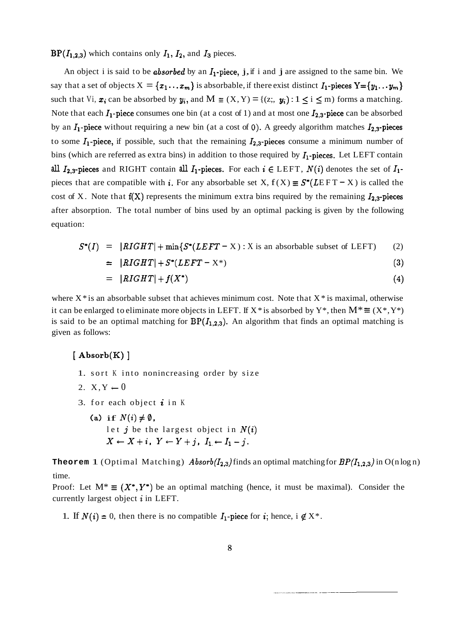$BP(I_{1,2,3})$  which contains only  $I_1$ ,  $I_2$ , and  $I_3$  pieces.

An object i is said to be *absorbed* by an  $I_1$ -piece, j, if i and j are assigned to the same bin. We say that a set of objects  $X = \{x_1...x_m\}$  is absorbable, if there exist distinct  $I_1$ -pieces  $Y = \{y_1...y_m\}$ such that Vi,  $x_i$  can be absorbed by  $y_i$ , and  $M \equiv (X, Y) = \{(z_i, y_i) : 1 \le i \le m\}$  forms a matching. Note that each  $I_1$ -piece consumes one bin (at a cost of 1) and at most one  $I_{2,3}$ -piece can be absorbed by an  $I_1$ -piece without requiring a new bin (at a cost of 0). A greedy algorithm matches  $I_{2,3}$ -pieces to some  $I_1$ -piece, if possible, such that the remaining  $I_{2,3}$ -pieces consume a minimum number of bins (which are referred as extra bins) in addition to those required by  $I_1$ -pieces. Let LEFT contain **all**  $I_{2,3}$ **-pieces** and RIGHT contain **all**  $I_1$ **-pieces.** For each  $i \in \text{LEFT}$ ,  $N(i)$  denotes the set of  $I_1$ pieces that are compatible with **i**. For any absorbable set X,  $f(X) \equiv S^*(LEFT - X)$  is called the cost of X. Note that  $f(X)$  represents the minimum extra bins required by the remaining  $I_{2,3}$ -pieces after absorption. The total number of bins used by an optimal packing is given by the following equation:

$$
S^*(I) = |RIGHT| + \min\{S^*(LEFT - X) : X \text{ is an absorbable subset of LEFT} \} \tag{2}
$$

$$
= |RIGHT| + S^*(LEFT - X^*)
$$
\n(3)

$$
= |RIGHT| + f(X^*) \tag{4}
$$

where  $X^*$  is an absorbable subset that achieves minimum cost. Note that  $X^*$  is maximal, otherwise it can be enlarged to eliminate more objects in LEFT. If X<sup>\*</sup> is absorbed by Y<sup>\*</sup>, then  $M^* \equiv (X^*, Y^*)$ is said to be an optimal matching for  $BP(I_{1,2,3})$ . An algorithm that finds an optimal matching is given as follows:

#### $[$  Absorb $(K)$ ]

- 1. sort K into nonincreasing order by size
- 2.  $X, Y \leftarrow 0$
- 3. for each object  $i$  in K
	- (a) if  $N(i) \neq \emptyset$ , let  $j$  be the largest object in  $N(i)$  $X \leftarrow X + i$ ,  $Y \leftarrow Y + j$ ,  $I_1 \leftarrow I_1 - j$ .

**Theorem 1** (Optimal Matching) *Absorb*( $I_{2,3}$ ) finds an optimal matching for  $BP(I_{1,2,3})$  in O(n log n) time.

Proof: Let  $M^* \equiv (X^*, Y^*)$  be an optimal matching (hence, it must be maximal). Consider the currently largest object **i** in LEFT.

1. If  $N(i) = 0$ , then there is no compatible  $I_1$ -piece for *i*; hence, i  $\notin X^*$ .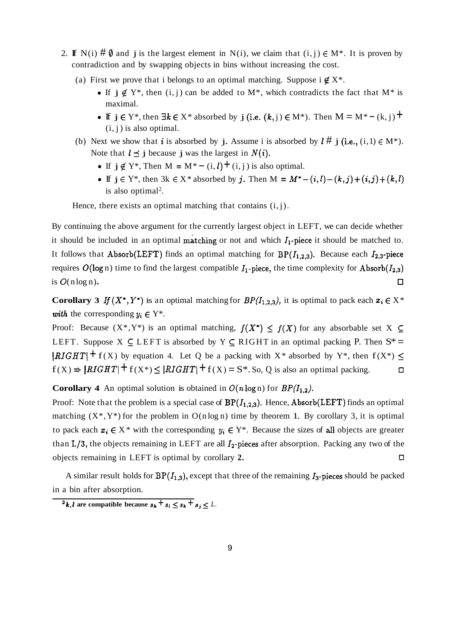- 2. **If** N(i)  $\sharp \emptyset$  and j is the largest element in N(i), we claim that  $(i, j) \in M^*$ . It is proven by contradiction and by swapping objects in bins without increasing the cost.
	- (a) First we prove that i belongs to an optimal matching. Suppose  $i \notin X^*$ .
		- If  $j \notin Y^*$ , then  $(i, j)$  can be added to  $M^*$ , which contradicts the fact that  $M^*$  is maximal.
		- $\bullet$  **If**  $j \in Y^*$ , then  $\exists k \in X^*$  absorbed by  $j$  (i.e.  $(k, j) \in M^*$ ). Then  $M = M^* (k, j)$  <sup>→</sup>  $(i, j)$  is also optimal.
	- (b) Next we show that *i* is absorbed by **j**. Assume i is absorbed by  $\mathbf{l} \# \mathbf{j}$  (i.e., (i, 1)  $\in M^*$ ). Note that  $l \leq j$  because j was the largest in  $N(i)$ .
		- If  $j \notin Y^*$ , Then  $M = M^* (i, l) + (i, j)$  is also optimal.
		- If  $j \in Y^*$ , then  $3k \in X^*$  absorbed by j. Then  $M = M^*-(i, l) (k, j) + (i, j) + (k, l)$ is also optimal<sup>2</sup>.

Hence, there exists an optimal matching that contains  $(i, j)$ .

By continuing the above argument for the currently largest object in LEFT, we can decide whether it should be included in an optimal matching or not and which  $I_1$ -piece it should be matched to. It follows that Absorb(LEFT) finds an optimal matching for  $BP(I_{1,2,3})$ . Because each  $I_{2,3}$ -piece requires  $O(\log n)$  time to find the largest compatible  $I_1$ -piece, the time complexity for Absorb $(I_{2,3})$ is  $O(n \log n)$ .  $\Box$ 

**Corollary 3** If  $(X^*, Y^*)$  is an optimal matching for  $BP(I_{1,2,3})$ , it is optimal to pack each  $x_i \in X^*$ with the corresponding  $y_i \in Y^*$ .

Proof: Because  $(X^*, Y^*)$  is an optimal matching,  $f(X^*) \le f(X)$  for any absorbable set X  $\subseteq$ LEFT. Suppose  $X \subseteq$  LEFT is absorbed by  $Y \subseteq$  RIGHT in an optimal packing P. Then  $S^*$  =  $\left| \text{RIGHT} \right| + f(X)$  by equation 4. Let Q be a packing with X<sup>\*</sup> absorbed by Y<sup>\*</sup>, then  $f(X^*) \le$  $f(X) \Rightarrow |RIGHT| + f(X^*) \le |RIGHT| + f(X) = S^*$ . So, Q is also an optimal packing.  $\Box$ 

**Corollary 4** An optimal solution is obtained in  $O(n \log n)$  for  $BP(I_{1,2})$ .

Proof: Note that the problem is a special case of  $BP(I_{1,2,3})$ . Hence, Absorb(LEFT) finds an optimal matching  $(X^*, Y^*)$  for the problem in  $O(n \log n)$  time by theorem 1. By corollary 3, it is optimal to pack each  $x_i \in X^*$  with the corresponding  $y_i \in Y^*$ . Because the sizes of all objects are greater than  $L/3$ , the objects remaining in LEFT are all  $I_2$ -pieces after absorption. Packing any two of the objects remaining in LEFT is optimal by corollary **2. 0** 

A similar result holds for  $BP(I_{1,3})$ , except that three of the remaining  $I_3$ -pieces should be packed in a bin after absorption.

 $\overline{f}$  $\overline{f}$ , *l* are compatible because  $\overline{s_k + s_l} \leq \overline{s_k + s_j} \leq L$ .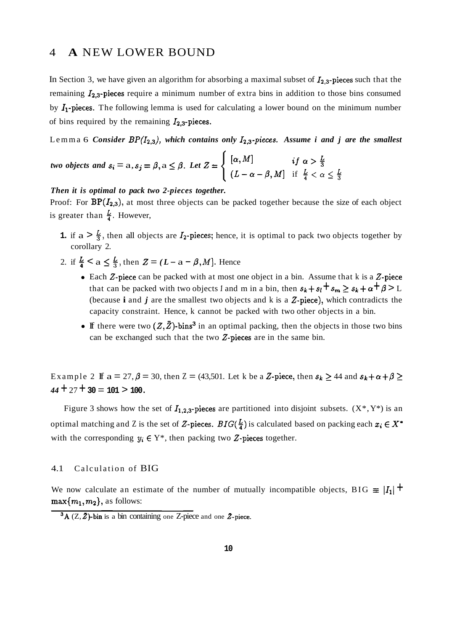### 4 **A** NEW LOWER BOUND

In Section 3, we have given an algorithm for absorbing a maximal subset of  $I_{2,3}$ -pieces such that the remaining  $I_{2,3}$ -pieces require a minimum number of extra bins in addition to those bins consumed by  $I_1$ -pieces. The following lemma is used for calculating a lower bound on the minimum number of bins required by the remaining  $I_{2,3}$ -pieces.

Lemma 6 *Consider BP* $(I_{2,3})$ , *which contains only*  $I_{2,3}$ *-pieces. Assume i and j are the smallest* 

*two objects and* 
$$
s_i = a, s_j = \beta, a \leq \beta
$$
. *Let*  $Z = \begin{cases} [\alpha, M] & \text{if } \alpha > \frac{L}{3} \\ (L - \alpha - \beta, M] & \text{if } \frac{L}{4} < \alpha \leq \frac{L}{3} \end{cases}$ 

#### *Then it is optimal to pack two 2-pieces together.*

Proof: For  $BP(I_{2,3})$ , at most three objects can be packed together because the size of each object is greater than  $\frac{L}{4}$ . However,

- **1.** if  $a > \frac{L}{3}$ , then all objects are  $I_2$ -pieces; hence, it is optimal to pack two objects together by corollary 2.
- 2. if  $\frac{L}{4} < a \leq \frac{L}{3}$ , then  $Z = (L a \beta, M]$ . Hence
	- Each Z-piece can be packed with at most one object in a bin. Assume that k is a Z-piece that can be packed with two objects *l* and m in a bin, then  $s_k + s_l + s_m \ge s_k + \alpha + \beta > L$ (because  $\mathbf{i}$  and  $\mathbf{j}$  are the smallest two objects and  $\mathbf{k}$  is a  $\mathbf{Z}\text{-piece}$ ), which contradicts the capacity constraint. Hence, k cannot be packed with two other objects in a bin.
	- If there were two  $(Z, \bar{Z})$ -bins<sup>3</sup> in an optimal packing, then the objects in those two bins can be exchanged such that the two  $Z$ -pieces are in the same bin.

Example 2 If  $a = 27$ ,  $\beta = 30$ , then  $Z = (43,501)$ . Let k be a Z-piece, then  $s_k \ge 44$  and  $s_k + \alpha + \beta \ge 44$  $44 + 27 + 30 = 101 > 100$ .

Figure 3 shows how the set of  $I_{1,2,3}$ -pieces are partitioned into disjoint subsets.  $(X^*, Y^*)$  is an optimal matching and Z is the set of Z-pieces.  $BIG(\frac{L}{4})$  is calculated based on packing each  $x_i \in X^*$ with the corresponding  $y_i \in Y^*$ , then packing two Z-pieces together.

#### 4.1 Calculation of BIG

We now calculate an estimate of the number of mutually incompatible objects, BIG  $\equiv |I_1|$  +  $\max\{m_1, m_2\}$ , as follows:

 $3A (Z, Z)$ -bin is a bin containing one Z-piece and one Z-piece.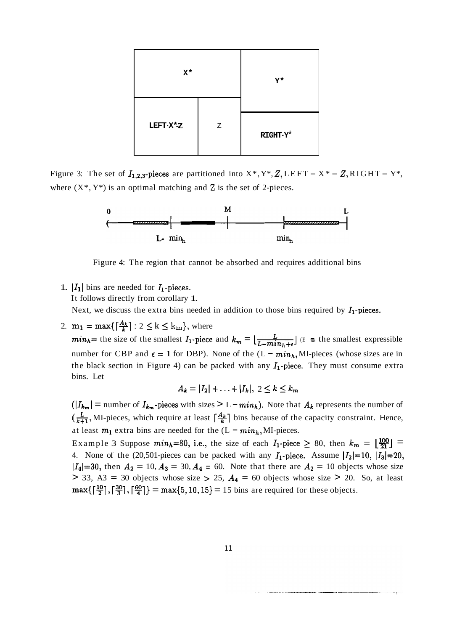| $X^*$    |   | $Y^{\star}$               |  |
|----------|---|---------------------------|--|
| LEFT-X*Z | Z | RIGHT- $\textbf{Y}^\star$ |  |

Figure 3: The set of  $I_{1,2,3}$ -pieces are partitioned into  $X^*$ ,  $Y^*$ ,  $Z$ , LEFT -  $X^*$  -  $Z$ , RIGHT -  $Y^*$ , where  $(X^*, Y^*)$  is an optimal matching and Z is the set of 2-pieces.



Figure 4: The region that cannot be absorbed and requires additional bins

1.  $|I_1|$  bins are needed for  $I_1$ -pieces.

It follows directly from corollary 1.

Next, we discuss the extra bins needed in addition to those bins required by  $I_1$ -pieces.

2.  $m_1 = \max\{ \lceil \frac{A_k}{k} \rceil : 2 \le k \le k_m \},\$  where

 $min_h$  = the size of the smallest  $I_1$ -piece and  $k_m = \lfloor \frac{L}{L-min_h+\epsilon} \rfloor$  (E = the smallest expressible number for CBP and  $\epsilon = 1$  for DBP). None of the  $(L - min_h, MI$ -pieces (whose sizes are in the black section in Figure 4) can be packed with any  $I_1$ -piece. They must consume extra bins. Let

$$
A_k = |I_2| + \ldots + |I_k|, \ 2 \leq k \leq k_m
$$

 $(|I_{k_m}| =$  number of  $I_{k_m}$ -pieces with sizes  $> L - min_h$ ). Note that  $A_k$  represents the number of  $(\frac{L}{k+1})$ , MI-pieces, which require at least  $\lceil \frac{A_k}{k} \rceil$  bins because of the capacity constraint. Hence, at least  $m_1$  extra bins are needed for the  $(L - min_h, MI$ -pieces.

Example 3 Suppose  $min_h=80$ , i.e., the size of each  $I_1$ -piece  $\geq 80$ , then  $k_m = \lfloor \frac{100}{21} \rfloor =$ 4. None of the (20,501-pieces can be packed with any  $I_1$ -piece. Assume  $|I_2|=10$ ,  $|I_3|=20$ ,  $|I_4|=30$ , then  $A_2 = 10, A_3 = 30, A_4 = 60$ . Note that there are  $A_2 = 10$  objects whose size  $>$  33, A3 = 30 objects whose size  $>$  25,  $A_4$  = 60 objects whose size  $>$  20. So, at least  $max\{\lceil \frac{10}{2} \rceil, \lceil \frac{30}{3} \rceil, \lceil \frac{60}{4} \rceil\} = max\{5, 10, 15\} = 15$  bins are required for these objects.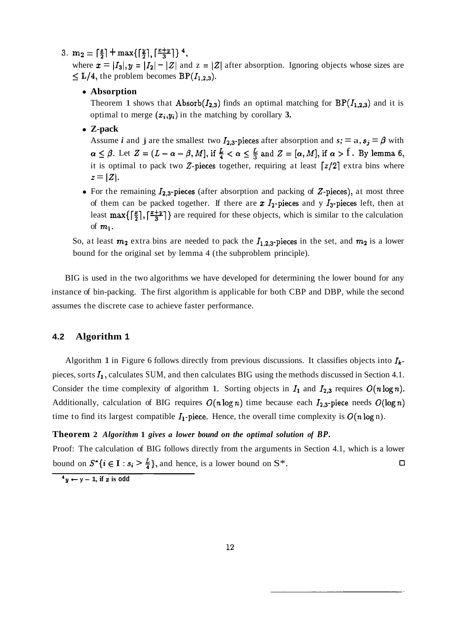## 3.  $m_2 = \lceil \frac{z}{2} \rceil + \max\{\lceil \frac{y}{2} \rceil, \lceil \frac{x+y}{3} \rceil \}^4$ ,

where  $x = |I_3|$ ,  $y = |I_2| - |Z|$  and  $z = |Z|$  after absorption. Ignoring objects whose sizes are  $\leq$  **L/4**, the problem becomes **BP**( $I_{1,2,3}$ ).

#### **Absorption**

Theorem 1 shows that Absorb( $I_{2,3}$ ) finds an optimal matching for  $BP(I_{1,2,3})$  and it is optimal to merge  $(x_i, y_i)$  in the matching by corollary 3.

#### **Z-pack**

Assume *i* and **j** are the smallest two  $I_{2,3}$ -pieces after absorption and  $s_i = a$ ,  $s_j = \beta$  with  $\alpha \leq \beta$ . Let  $Z=(L-\alpha-\beta,M]$ , if  $\frac{L}{4}<\alpha \leq \frac{L}{3}$  and  $Z=[\alpha,M]$ , if  $\alpha > 1$ . By lemma 6, it is optimal to pack two Z-pieces together, requiring at least  $\lceil z/2 \rceil$  extra bins where  $z = |Z|.$ 

• For the remaining  $I_{2,3}$ -pieces (after absorption and packing of  $Z$ -pieces), at most three of them can be packed together. If there are  $x I_2$ -pieces and y  $I_3$ -pieces left, then at least  $max\{\lceil \frac{x}{2} \rceil, \lceil \frac{x+y}{3} \rceil\}$  are required for these objects, which is similar to the calculation of  $m_1$ .

So, at least  $m_2$  extra bins are needed to pack the  $I_{1,2,3}$ -pieces in the set, and  $m_2$  is a lower bound for the original set by lemma 4 (the subproblem principle).

BIG is used in the two algorithms we have developed for determining the lower bound for any instance of bin-packing. The first algorithm is applicable for both CBP and DBP, while the second assumes the discrete case to achieve faster performance.

#### **4.2 Algorithm 1**

Algorithm 1 in Figure 6 follows directly from previous discussions. It classifies objects into  $I_k$ pieces, sorts  $I_1$ , calculates SUM, and then calculates BIG using the methods discussed in Section 4.1. Consider the time complexity of algorithm 1. Sorting objects in  $I_1$  and  $I_{2,3}$  requires  $O(n \log n)$ . Additionally, calculation of BIG requires  $O(n \log n)$  time because each  $I_{2,3}$ -piece needs  $O(\log n)$ time to find its largest compatible  $I_1$ -piece. Hence, the overall time complexity is  $O(n \log n)$ .

#### **Theorem 2** *Algorithm* **1** *gives a lower bound on the optimal solution of BP.*

Proof: The calculation of BIG follows directly from the arguments in Section 4.1, which is a lower bound on  $S^*$  { $i \in I : s_i > \frac{L}{4}$ }, and hence, is a lower bound on S<sup>\*</sup>.

 $4y \leftarrow y - 1$ , if **z** is odd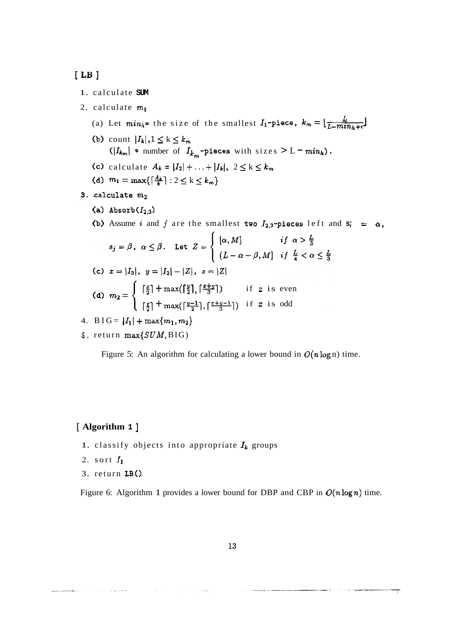## $[$   $$

1. calculate **SUM** 

2. calculate  $m_1$ 

- (a) Let  $min_h$ = the size of the smallest  $I_1$ -piece,  $k_m = \lfloor \frac{L}{L-min_h + \epsilon} \rfloor$
- (b) count  $|I_k|, 1 \le k \le k_m$  $(|I_{k_m}|$  = number of  $I_{k_m}$ -pieces with sizes > L =  $min_h$ ).
- (c) calculate  $A_k = |I_2| + ... + |I_k|, 2 \le k \le k_m$
- (d)  $m_1 = \max\{\lceil \frac{A_k}{k} \rceil : 2 \le k \le k_m\}$
- 3. calculate  $m_2$ 
	- (a) Absorb $(I_{2,3})$
	- (b) Assume *i* and *j* are the smallest two  $I_{2,3}$ -pieces left and  $s$ ; =  $\alpha$ ,

$$
s_j = \beta, \ \alpha \leq \beta. \quad \text{Let } Z = \begin{cases} [\alpha, M] & \text{if } \alpha > \frac{L}{3} \\ (L - \alpha - \beta, M] & \text{if } \frac{L}{4} < \alpha \leq \frac{L}{3} \end{cases}
$$

(c) 
$$
x = |I_3|
$$
,  $y = |I_2| - |Z|$ ,  $z = |Z|$ 

(d) 
$$
m_2 = \begin{cases} \lceil \frac{z}{2} \rceil + \max(\lceil \frac{y}{2} \rceil, \lceil \frac{z+y}{3} \rceil) & \text{if } z \text{ is even} \\ \lceil \frac{z}{2} \rceil + \max(\lceil \frac{y-1}{2} \rceil, \lceil \frac{z+y-1}{3} \rceil) & \text{if } z \text{ is odd} \end{cases}
$$

4. 
$$
B \text{IG} = |I_1| + \max\{m_1, m_2\}
$$

**5.** return max{SUM, BIG)

Figure 5: An algorithm for calculating a lower bound in  $O(n \log n)$  time.

#### [ **Algorithm 1** ]

- 1. classify objects into appropriate  $I_k$  groups
- 2. sort  $I_1$
- 3. return LB()

Figure 6: Algorithm 1 provides a lower bound for DBP and CBP in  $O(n \log n)$  time.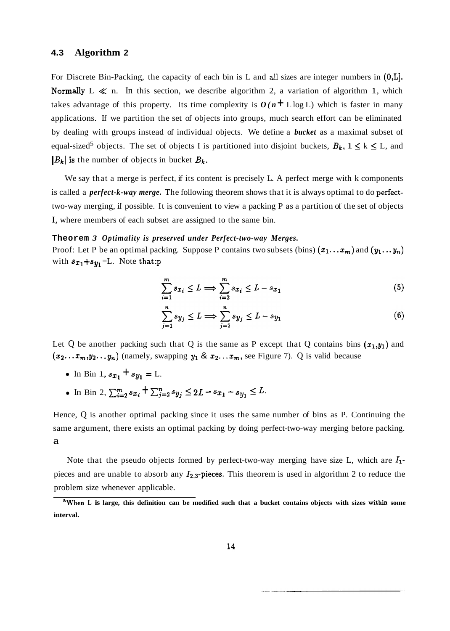#### **4.3 Algorithm 2**

For Discrete Bin-Packing, the capacity of each bin is L and **all** sizes are integer numbers in (O,L]. Normally  $L \ll n$ . In this section, we describe algorithm 2, a variation of algorithm 1, which takes advantage of this property. Its time complexity is  $O(n + L \log L)$  which is faster in many applications. If we partition the set of objects into groups, much search effort can be eliminated by dealing with groups instead of individual objects. We define a *bucket* as a maximal subset of equal-sized<sup>5</sup> objects. The set of objects I is partitioned into disjoint buckets,  $B_k$ ,  $1 \le k \le L$ , and  $|B_k|$  is the number of objects in bucket  $B_k$ .

We say that a merge is perfect, if its content is precisely L. A perfect merge with k components is called a *perfect-k-way merge.* The following theorem shows that it is always optimal to do perfecttwo-way merging, if possible. It is convenient to view a packing P as a partition of the set of objects I, where members of each subset are assigned to the same bin.

#### **Theorem** *3 Optimality is preserved under Perfect-two-way Merges.*

Proof: Let P be an optimal packing. Suppose P contains two subsets (bins)  $(x_1 \ldots x_m)$  and  $(y_1 \ldots y_n)$ with  $s_{x_1} + s_{y_1} = L$ . Note that:

$$
\sum_{i=1}^{m} s_{x_i} \le L \Longrightarrow \sum_{i=2}^{m} s_{x_i} \le L - s_{x_1} \tag{5}
$$

$$
\sum_{j=1}^{n} s_{y_j} \le L \Longrightarrow \sum_{j=2}^{n} s_{y_j} \le L - s_{y_1} \tag{6}
$$

Let Q be another packing such that Q is the same as P except that Q contains bins  $(x_1,y_1)$  and  $(x_2...x_m,y_2...y_n)$  (namely, swapping  $y_1 \& x_2...x_m$ , see Figure 7). Q is valid because

- In Bin 1,  $s_{x_1} + s_{y_1} = L$ .
- In Bin 2,  $\sum_{i=2}^{m} s_{x_i} + \sum_{j=2}^{n} s_{y_j} \le 2L s_{x_1} s_{y_1} \le L$ .

Hence, Q is another optimal packing since it uses the same number of bins as P. Continuing the same argument, there exists an optimal packing by doing perfect-two-way merging before packing. a

Note that the pseudo objects formed by perfect-two-way merging have size L, which are  $I_1$ pieces and are unable to absorb any  $I_{2,3}$ -pieces. This theorem is used in algorithm 2 to reduce the problem size whenever applicable.

**<sup>5</sup>When L is large, this definition can be modified such that a bucket contains objects with sizes within some interval.**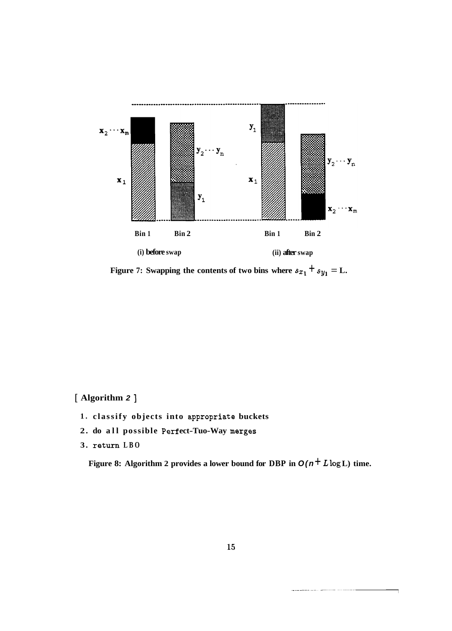

**Figure 7:** Swapping the contents of two bins where  $s_{x_1} + s_{y_1} = L$ .

[ **Algorithm 2** ]

- **1. classify objects into appropriate buckets**
- 2. do all possible Perfect-Tuo-Way merges
- **3. return LBO**

Figure 8: Algorithm 2 provides a lower bound for DBP in  $O(n^+ L \log L)$  time.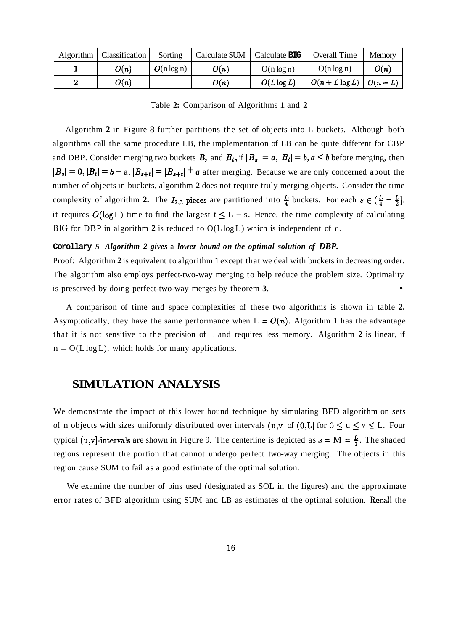| Algorithm | Classification | Sorting       | Calculate SUM | Calculate <b>BIG</b> | <b>Overall Time</b>     | Memory |
|-----------|----------------|---------------|---------------|----------------------|-------------------------|--------|
|           | O(n)           | $O(n \log n)$ | O(n)          | $O(n \log n)$        | $O(n \log n)$           | O(n)   |
|           | O(n)           |               | O(n)          | $O(L \log L)$        | $O(n+L\log L)$ $O(n+L)$ |        |

Table **2:** Comparison of Algorithms 1 and **2** 

Algorithm **2** in Figure 8 further partitions the set of objects into L buckets. Although both algorithms call the same procedure LB, the implementation of LB can be quite different for CBP and DBP. Consider merging two buckets *B*, and  $B_t$ , if  $|B_s| = a$ ,  $|B_t| = b$ ,  $a < b$  before merging, then  $|B_{s}| = 0$ ,  $|B_{t}| = b - a$ ,  $|B_{s+t}| = |B_{s+t}| + a$  after merging. Because we are only concerned about the number of objects in buckets, algorithm **2** does not require truly merging objects. Consider the time complexity of algorithm **2.** The  $I_{2,3}$ -pieces are partitioned into  $\frac{L}{4}$  buckets. For each  $s \in (\frac{L}{4} - \frac{L}{2})$ , it requires  $O(\log L)$  time to find the largest  $t \leq L - s$ . Hence, the time complexity of calculating BIG for DBP in algorithm **2** is reduced to O(L log L) which is independent of n.

#### **Corollary** *5 Algorithm 2 gives* a *lower bound on the optimal solution of DBP.*

Proof: Algorithm **2** is equivalent to algorithm 1 except that we deal with buckets in decreasing order. The algorithm also employs perfect-two-way merging to help reduce the problem size. Optimality is preserved by doing perfect-two-way merges by theorem **3.** •

A comparison of time and space complexities of these two algorithms is shown in table **2.**  Asymptotically, they have the same performance when  $L = O(n)$ . Algorithm 1 has the advantage that it is not sensitive to the precision of L and requires less memory. Algorithm **2** is linear, if  $n = O(L \log L)$ , which holds for many applications.

## **SIMULATION ANALYSIS**

We demonstrate the impact of this lower bound technique by simulating BFD algorithm on sets of n objects with sizes uniformly distributed over intervals (u,v] of  $(0,L]$  for  $0 \le u \le v \le L$ . Four typical (u,v]-intervals are shown in Figure 9. The centerline is depicted as  $s = M = \frac{L}{3}$ . The shaded regions represent the portion that cannot undergo perfect two-way merging. The objects in this region cause SUM to fail as a good estimate of the optimal solution.

We examine the number of bins used (designated as SOL in the figures) and the approximate error rates of BFD algorithm using SUM and LB as estimates of the optimal solution. Recall the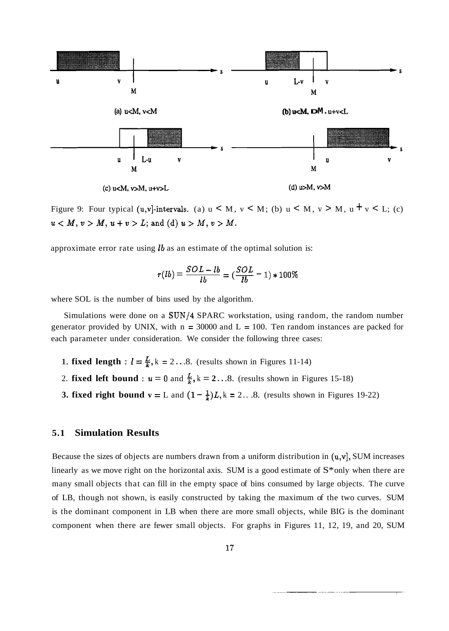

Figure 9: Four typical (u,v]-intervals. (a)  $u < M$ ,  $v < M$ ; (b)  $u < M$ ,  $v > M$ ,  $u + v < L$ ; (c)  $u < M, v > M, u + v > L$ ; and (d)  $u > M, v > M$ .

approximate error rate using  **as an estimate of the optimal solution is:** 

$$
r(lb) = \frac{SOL - lb}{lb} = (\frac{SOL}{lb} - 1) * 100\%
$$

where SOL is the number of bins used by the algorithm.

Simulations were done on a SUN/4 SPARC workstation, using random, the random number generator provided by UNIX, with  $n = 30000$  and  $L = 100$ . Ten random instances are packed for each parameter under consideration. We consider the following three cases:

- 1. **fixed length** :  $l = \frac{L}{k}$ , k = 2...8. (results shown in Figures 11-14)
- 2. **fixed left bound :**  $u = 0$  and  $\frac{L}{k}$ ,  $k = 2...8$ . (results shown in Figures 15-18)
- **3. fixed right bound v = L** and  $(1 \frac{1}{k})L$ , k = 2... 8. (results shown in Figures 19-22)

#### **5.1 Simulation Results**

Because the sizes of objects are numbers drawn from a uniform distribution in  $(u,v)$ , SUM increases linearly as we move right on the horizontal axis. SUM is a good estimate of  $S^*$  only when there are many small objects that can fill in the empty space of bins consumed by large objects. The curve of LB, though not shown, is easily constructed by taking the maximum of the two curves. SUM is the dominant component in LB when there are more small objects, while BIG is the dominant component when there are fewer small objects. For graphs in Figures 11, 12, 19, and 20, SUM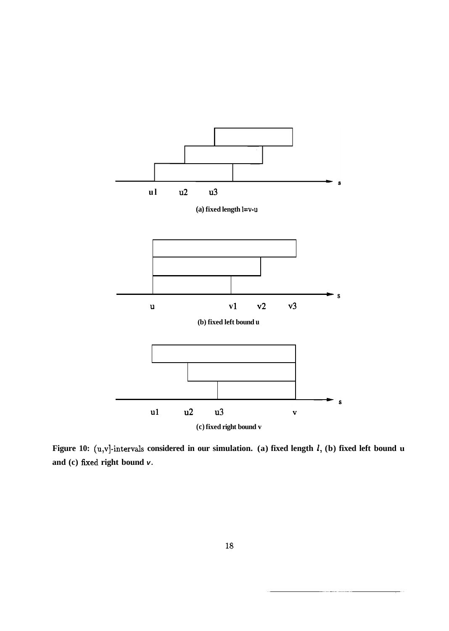

**Figure 10: (u,v]-intervals considered in our simulation. (a) fixed length 1, (b) fixed left bound u and (c) fixed right bound v.**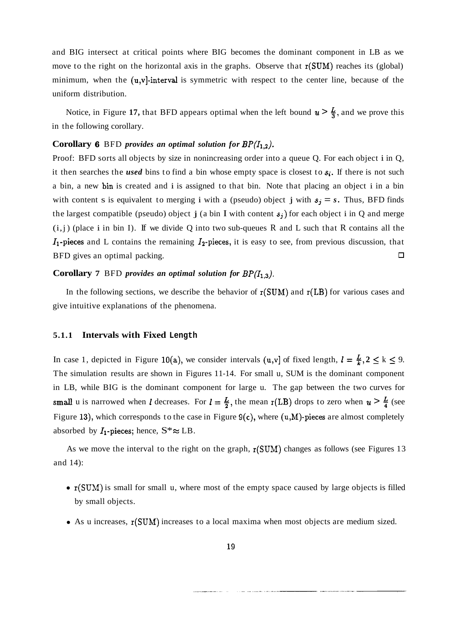and BIG intersect at critical points where BIG becomes the dominant component in LB as we move to the right on the horizontal axis in the graphs. Observe that  $r(SUM)$  reaches its (global) minimum, when the  $(u, v)$ -interval is symmetric with respect to the center line, because of the uniform distribution.

Notice, in Figure 17, that BFD appears optimal when the left bound  $u > \frac{L}{3}$ , and we prove this in the following corollary.

#### **Corollary 6** BFD *provides an optimal solution for*  $BP(I_{1,2})$ *.*

Proof: BFD sorts all objects by size in nonincreasing order into a queue Q. For each object i in Q, it then searches the *used* bins to find a bin whose empty space is closest to *s;.* If there is not such a bin, a new bin is created and i is assigned to that bin. Note that placing an object i in a bin with content s is equivalent to merging i with a (pseudo) object j with  $s_j = s$ . Thus, BFD finds the largest compatible (pseudo) object j (a bin I with content  $s_j$ ) for each object i in Q and merge  $(i, j)$  (place i in bin I). If we divide Q into two sub-queues R and L such that R contains all the  $I_1$ -pieces and L contains the remaining  $I_2$ -pieces, it is easy to see, from previous discussion, that BFD gives an optimal packing.  $\Box$ 

#### **Corollary 7** BFD *provides an optimal solution for BP* $(I_{1,3})$ .

In the following sections, we describe the behavior of  $r(SUM)$  and  $r(LB)$  for various cases and give intuitive explanations of the phenomena.

#### **5.1.1 Intervals with Fixed Length**

In case 1, depicted in Figure 10(a), we consider intervals (u,v) of fixed length,  $l = \frac{L}{k}$ ,  $2 \le k \le 9$ . The simulation results are shown in Figures 11-14. For small u, SUM is the dominant component in LB, while BIG is the dominant component for large u. The gap between the two curves for small u is narrowed when *l* decreases. For  $l = \frac{L}{2}$ , the mean r(LB) drops to zero when  $u > \frac{L}{4}$  (see Figure 13), which corresponds to the case in Figure  $9(c)$ , where  $(u,M)$ -pieces are almost completely absorbed by  $I_1$ -pieces; hence,  $S^* \approx LB$ .

As we move the interval to the right on the graph,  $r(SUM)$  changes as follows (see Figures 13 and 14):

- r(SUM) is small for small u, where most of the empty space caused by large objects is filled by small objects.
- As u increases,  $r(SUM)$  increases to a local maxima when most objects are medium sized.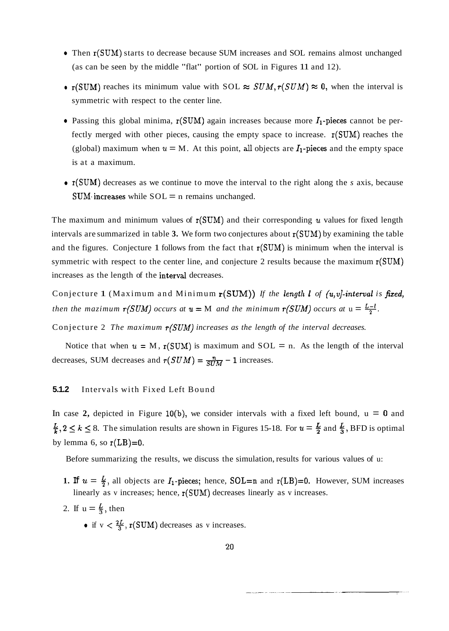- Then  $r(SUM)$  starts to decrease because SUM increases and SOL remains almost unchanged (as can be seen by the middle "flat" portion of SOL in Figures 11 and 12).
- $r(SUM)$  reaches its minimum value with SOL  $\approx$  SUM,  $r(SUM) \approx 0$ , when the interval is symmetric with respect to the center line.
- Passing this global minima,  $r(SUM)$  again increases because more  $I_1$ -pieces cannot be perfectly merged with other pieces, causing the empty space to increase.  $r(SUM)$  reaches the (global) maximum when  $u = M$ . At this point, all objects are  $I_1$ -pieces and the empty space is at a maximum.
- **r** r(SUM) decreases as we continue to move the interval to the right along the *s* axis, because  $SUM\cdot$  increases while  $SOL = n$  remains unchanged.

The maximum and minimum values of  $r(SUM)$  and their corresponding u values for fixed length intervals are summarized in table **3.** We form two conjectures about r(SUM) by examining the table and the figures. Conjecture 1 follows from the fact that  $r(SUM)$  is minimum when the interval is symmetric with respect to the center line, and conjecture 2 results because the maximum  $r(SUM)$ increases as the length of the interval decreases.

Conjecture 1 (Maximum and Minimum r(SUM)) *If the length 1 of (u,v]-interval is fixed, then the mazimum*  $r(SUM)$  *occurs at*  $u = M$  *and the minimum*  $r(SUM)$  *occurs at*  $u = \frac{L-l}{2}$ .

Conjecture 2 *The maximum* r(SUM) *increases as the length of the interval decreases.* 

Notice that when  $u = M$ ,  $r(SUM)$  is maximum and  $SOL = n$ . As the length of the interval decreases, SUM decreases and  $r(SUM) = \frac{n}{SUM} - 1$  increases.

#### **5.1.2** Intervals with Fixed Left Bound

In case 2, depicted in Figure 10(b), we consider intervals with a fixed left bound,  $u = 0$  and  $\frac{L}{k}$ ,  $2 \le k \le 8$ . The simulation results are shown in Figures 15-18. For  $u = \frac{L}{2}$  and  $\frac{L}{3}$ , BFD is optimal by lemma 6, so  $r(LB)=0$ .

Before summarizing the results, we discuss the simulation, results for various values of u:

- **1. If**  $u = \frac{L}{2}$ , all objects are  $I_1$ -pieces; hence, SOL=n and r(LB)=0. However, SUM increases linearly as v increases; hence,  $r(SUM)$  decreases linearly as v increases.
- 2. If  $u = \frac{L}{3}$ , then
	- if  $v < \frac{2L}{3}$ ,  $r(SUM)$  decreases as v increases.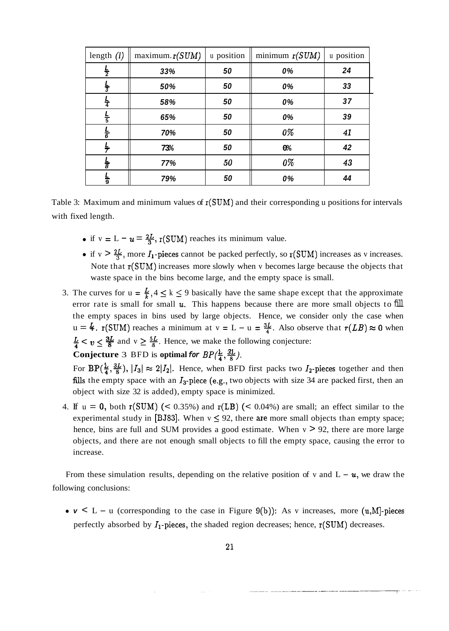| length $(l)$  | maximum. r(SUM) | u position | minimum $r(SUM)$ | u position |
|---------------|-----------------|------------|------------------|------------|
| $\frac{L}{2}$ | 33%             | 50         | 0%               | 24         |
| $\frac{L}{3}$ | 50%             | 50         | 0%               | 33         |
| $\frac{L}{4}$ | 58%             | 50         | 0%               | 37         |
| $\frac{L}{5}$ | 65%             | 50         | 0%               | 39         |
| $\frac{L}{6}$ | 70%             | 50         | $0\%$            | 41         |
| 픚             | 73%             | 50         | $0\%$            | 42         |
| $\frac{L}{8}$ | 77%             | 50         | 0%               | 43         |
| $\frac{L}{9}$ | 79%             | 50         | 0%               | 44         |

Table 3: Maximum and minimum values of  $r(SUM)$  and their corresponding u positions for intervals with fixed length.

- if  $v = L u = \frac{2L}{3}$ ,  $r(SUM)$  reaches its minimum value.
- if v  $> \frac{2L}{3}$ , more  $I_1$ -pieces cannot be packed perfectly, so r(SUM) increases as v increases. Note that  $r(SUM)$  increases more slowly when v becomes large because the objects that waste space in the bins become large, and the empty space is small.
- 3. The curves for  $u = \frac{L}{k}$ ,  $4 \le k \le 9$  basically have the same shape except that the approximate error rate is small for small  $u$ . This happens because there are more small objects to fill the empty spaces in bins used by large objects. Hence, we consider only the case when  $u = \frac{L}{3}$ .  $r(SUM)$  reaches a minimum at  $v = L - u = \frac{3L}{4}$ . Also observe that  $r(LB) \approx 0$  when  $\frac{L}{4}$  <  $v \leq \frac{3L}{8}$  and  $v \geq \frac{5L}{8}$ . Hence, we make the following conjecture:

**Conjecture** 3 **BFD** is optimal for 
$$
BP(\frac{L}{4}, \frac{3L}{8})
$$
.

For  $BP(\frac{L}{4}, \frac{3L}{8})$ ,  $|I_3| \approx 2|I_2|$ . Hence, when BFD first packs two  $I_2$ -pieces together and then fills the empty space with an  $I_3$ -piece (e.g., two objects with size 34 are packed first, then an object with size 32 is added), empty space is minimized.

4. If  $u = 0$ , both  $r(SUM)$  (< 0.35%) and  $r(LB)$  (< 0.04%) are small; an effect similar to the experimental study in [BJ83]. When  $v \le 92$ , there are more small objects than empty space; hence, bins are full and SUM provides a good estimate. When  $v > 92$ , there are more large objects, and there are not enough small objects to fill the empty space, causing the error to increase.

From these simulation results, depending on the relative position of v and  $L - u$ , we draw the following conclusions:

•  $v < L - u$  (corresponding to the case in Figure 9(b)): As v increases, more  $(u, M]$ -pieces perfectly absorbed by  $I_1$ -pieces, the shaded region decreases; hence,  $r(SUM)$  decreases.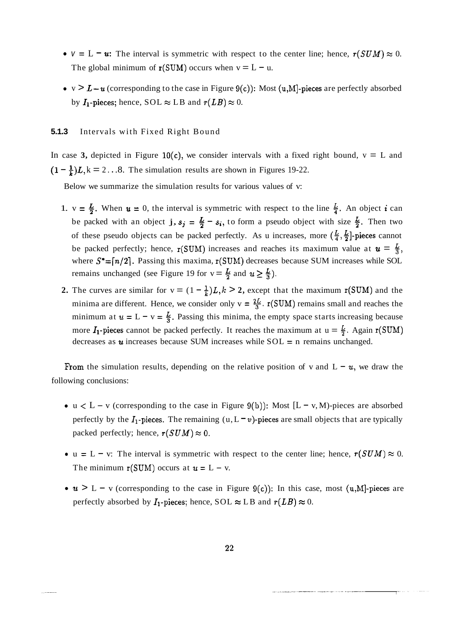- $v = L u$ : The interval is symmetric with respect to the center line; hence,  $r(SUM) \approx 0$ . The global minimum of  $r(SUM)$  occurs when  $v = L - u$ .
- $v > L-u$  (corresponding to the case in Figure 9(c)): Most (u,M]-pieces are perfectly absorbed by  $I_1$ -pieces; hence, SOL  $\approx$  LB and  $r(LB) \approx 0$ .

#### **5.1.3** Intervals with Fixed Right Bound

In case 3, depicted in Figure  $10(c)$ , we consider intervals with a fixed right bound,  $v = L$  and  $(1 - \frac{1}{k})L$ ,  $k = 2...8$ . The simulation results are shown in Figures 19-22.

Below we summarize the simulation results for various values of v:

- 1.  $v = \frac{L}{2}$ . When  $u = 0$ , the interval is symmetric with respect to the line  $\frac{L}{4}$ . An object **i** can be packed with an object j,  $s_j = \frac{L}{2} - s_i$ , to form a pseudo object with size  $\frac{L}{2}$ . Then two of these pseudo objects can be packed perfectly. As u increases, more  $(\frac{L}{4}, \frac{L}{2})$ -pieces cannot be packed perfectly; hence,  $r(SUM)$  increases and reaches its maximum value at  $u = \frac{L}{3}$ , where  $S^* = [n/2]$ . Passing this maxima,  $r(SUM)$  decreases because SUM increases while SOL remains unchanged (see Figure 19 for  $v = \frac{L}{2}$  and  $u \ge \frac{L}{3}$ ).
- **2.** The curves are similar for  $v = (1 \frac{1}{k})L$ ,  $k > 2$ , except that the maximum r(SUM) and the minima are different. Hence, we consider only  $v = \frac{2L}{3}$ .  $r(SUM)$  remains small and reaches the minimum at  $u = L - v = \frac{L}{3}$ . Passing this minima, the empty space starts increasing because more  $I_1$ -pieces cannot be packed perfectly. It reaches the maximum at  $u = \frac{L}{2}$ . Again  $r(SUM)$ decreases as  $u$  increases because SUM increases while  $SOL = n$  remains unchanged.

From the simulation results, depending on the relative position of v and  $L - u$ , we draw the following conclusions:

- $u < L v$  (corresponding to the case in Figure 9(b)): Most  $[L v, M)$ -pieces are absorbed perfectly by the  $I_1$ -pieces. The remaining (u, L = v)-pieces are small objects that are typically packed perfectly; hence,  $r(SUM) \approx 0$ .
- $u = L v$ : The interval is symmetric with respect to the center line; hence,  $r(SUM) \approx 0$ . The minimum  $r(SUM)$  occurs at  $u = L - v$ .
- $u > L v$  (corresponding to the case in Figure 9(c)): In this case, most (u,M]-pieces are perfectly absorbed by  $I_1$ -pieces; hence, SOL  $\approx$  LB and  $r(LB) \approx 0$ .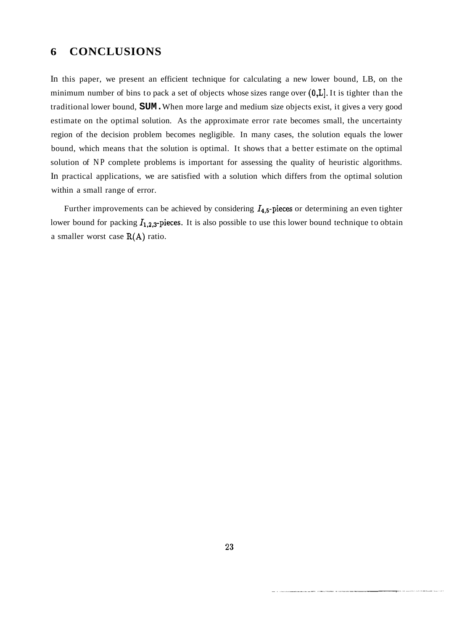## **6 CONCLUSIONS**

In this paper, we present an efficient technique for calculating a new lower bound, LB, on the minimum number of bins to pack a set of objects whose sizes range over  $(0,L]$ . It is tighter than the traditional lower bound, **SUM.** When more large and medium size objects exist, it gives a very good estimate on the optimal solution. As the approximate error rate becomes small, the uncertainty region of the decision problem becomes negligible. In many cases, the solution equals the lower bound, which means that the solution is optimal. It shows that a better estimate on the optimal solution of NP complete problems is important for assessing the quality of heuristic algorithms. In practical applications, we are satisfied with a solution which differs from the optimal solution within a small range of error.

Further improvements can be achieved by considering  $I_{4,5}$ -pieces or determining an even tighter lower bound for packing  $I_{1,2,3}$ -pieces. It is also possible to use this lower bound technique to obtain a smaller worst case  $R(A)$  ratio.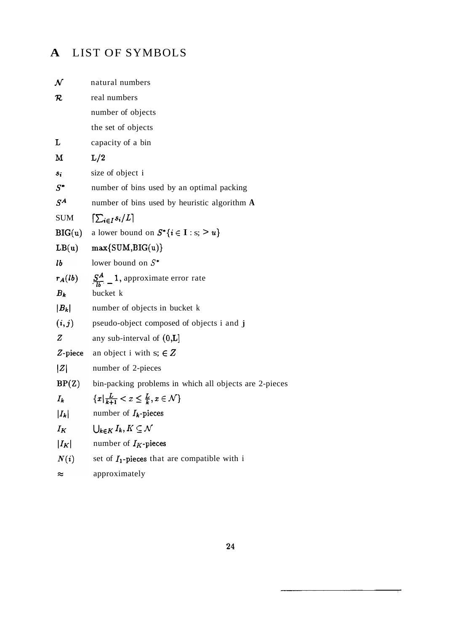## **A** LIST OF SYMBOLS

| $\boldsymbol{\mathcal{N}}$ | natural numbers                                                        |
|----------------------------|------------------------------------------------------------------------|
| ${\cal R}$                 | real numbers                                                           |
|                            | number of objects                                                      |
|                            | the set of objects                                                     |
| L                          | capacity of a bin                                                      |
| М                          | L/2                                                                    |
| $s_i$                      | size of object i                                                       |
| $S^*$                      | number of bins used by an optimal packing                              |
| $S^A$                      | number of bins used by heuristic algorithm $\bf{A}$                    |
| <b>SUM</b>                 | $[\sum_{i\in I} s_i/L]$                                                |
| BIG(u)                     | a lower bound on $S^*\{i \in I : s; > u\}$                             |
| LB(u)                      | $max\{SUM,BIG(u)\}$                                                    |
| 1b                         | lower bound on $S^*$                                                   |
|                            | $r_A(lb)$ $\frac{S^A}{l}$ 1, approximate error rate                    |
| $B_k$                      | bucket k                                                               |
| $ B_k $                    | number of objects in bucket k                                          |
|                            | $(i, j)$ pseudo-object composed of objects i and j                     |
| $\boldsymbol{Z}$           | any sub-interval of $(0,L]$                                            |
|                            | <b>Z</b> -piece an object i with $s: \in \mathbb{Z}$                   |
| Z                          | number of 2-pieces                                                     |
|                            | $BP(Z)$ bin-packing problems in which all objects are 2-pieces         |
|                            | $I_k$ $\{x   \frac{L}{k+1} < x \leq \frac{L}{k}, x \in \mathcal{N}\}\$ |
|                            | $ I_k $ number of $I_k$ -pieces                                        |
| $I_K$                      | $\bigcup_{k\in K}I_k, K\subseteq \mathcal{N}$                          |
| $ I_K $                    | number of $I_K$ -pieces                                                |
| N(i)                       | set of $I_1$ -pieces that are compatible with i                        |
| ≈                          | approximately                                                          |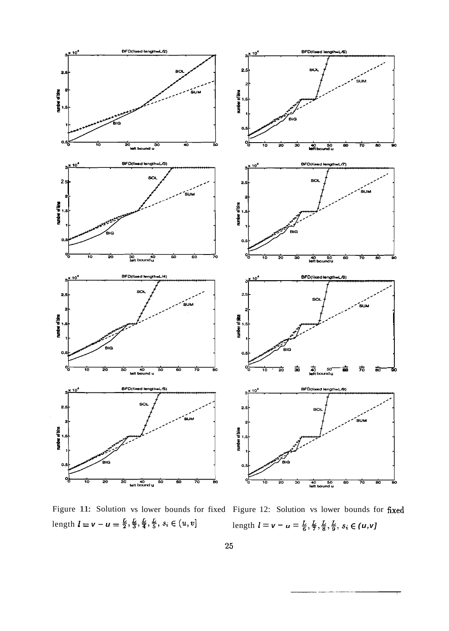

Figure 11: Solution vs lower bounds for fixed Figure 12: Solution vs lower bounds for fixed  $\text{length } l = v - u = \frac{L}{2}, \frac{L}{3}, \frac{L}{4}, \frac{L}{5}, s_i \in (u, v]$   $\text{length } l = v - u = \frac{L}{6}, \frac{L}{7}, \frac{L}{8}, \frac{L}{9}, s_i \in (u, v]$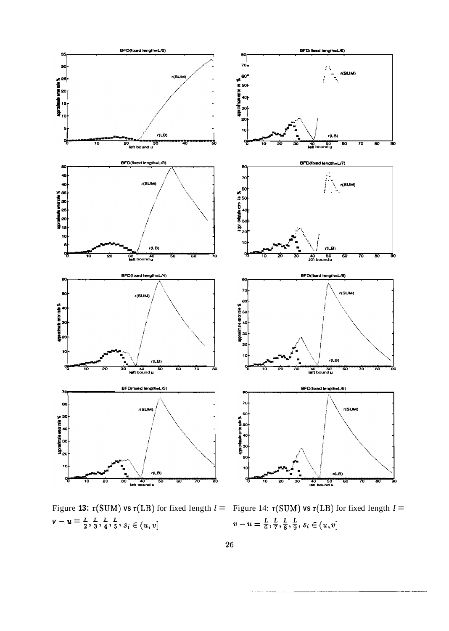

Figure 13:  $r(SUM)$  **vs**  $r(LB)$  for fixed length  $l =$  Figure 14:  $r(SUM)$  **vs**  $r(LB)$  for fixed length  $l =$  $\mathbf{v} - \mathbf{u} = \frac{L}{2}, \frac{L}{3}, \frac{L}{4}, \frac{L}{5}, s_i \in (u, v]$ 

 $v-u=\frac{L}{6}, \frac{L}{7}, \frac{L}{8}, \frac{L}{9}, s_i \in (u, v]$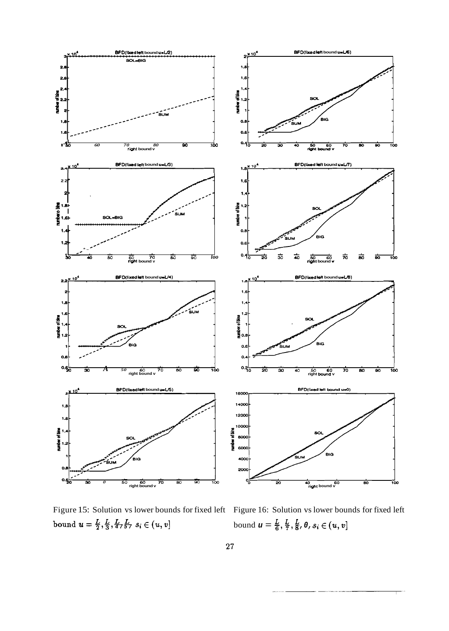

Figure 15: Solution vs lower bounds for fixed left Figure 16: Solution vs lower bounds for fixed left bound  $u = \frac{L}{2}, \frac{L}{3}, \frac{L}{4757}$   $s_i \in (u, v]$ 

bound  $u = \frac{L}{6}, \frac{L}{7}, \frac{L}{8}, 0, s_i \in (u, v]$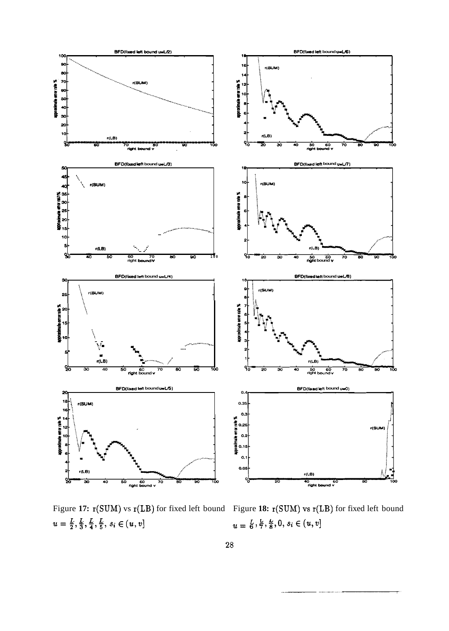

Figure **17:** r(SUM) vs r(LB) for fixed left bound Figure **18:** r(SUM) vs r(LB) for fixed left bound  $u = \frac{L}{2}, \frac{L}{3}, \frac{L}{4}, \frac{L}{5}, s_i \in (u, v]$ <br> $u = \frac{L}{6}, \frac{L}{7}, \frac{L}{8}, 0, s_i \in (u, v]$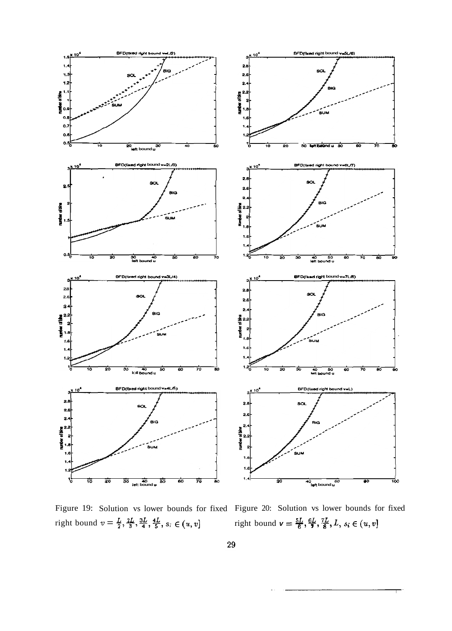

Figure 19: Solution vs lower bounds for fixed Figure 20: Solution vs lower bounds for fixed right bound  $v = \frac{L}{2}, \frac{2L}{3}, \frac{3L}{4}, \frac{4L}{5}, s \in (u, v]$  right bound  $v = \frac{5L}{6}, \frac{6L}{9}, \frac{7L}{8}, L, s \in (u, v]$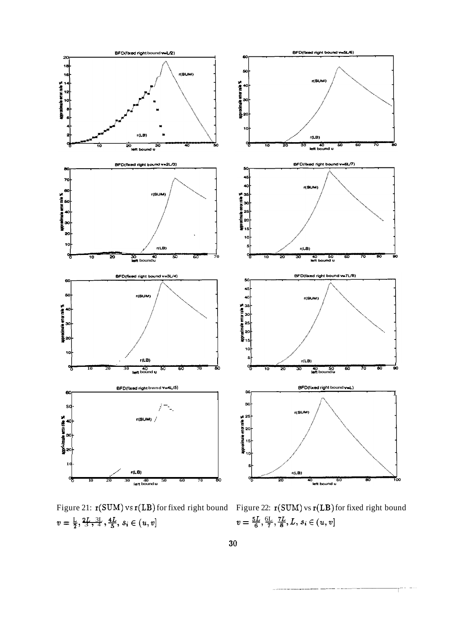

 $v = \frac{L}{2}, \frac{2L}{3}, \frac{3L}{4}, \frac{4L}{5}, s_i \in (u, v]$   $v = \frac{5L}{6}, \frac{6L}{7}, \frac{7L}{8}, L, s_i \in (u, v]$ 

Figure 21:  $\mathbf{r(SUM)}$  vs  $\mathbf{r(LB)}$  for fixed right bound Figure 22:  $\mathbf{r(SUM)}$  vs  $\mathbf{r(LB)}$  for fixed right bound  $v = \frac{5L}{6}$ ,  $\frac{6L}{7}$ ,  $\frac{7L}{8}$ ,  $L$ ,  $s_i \in (u, v]$